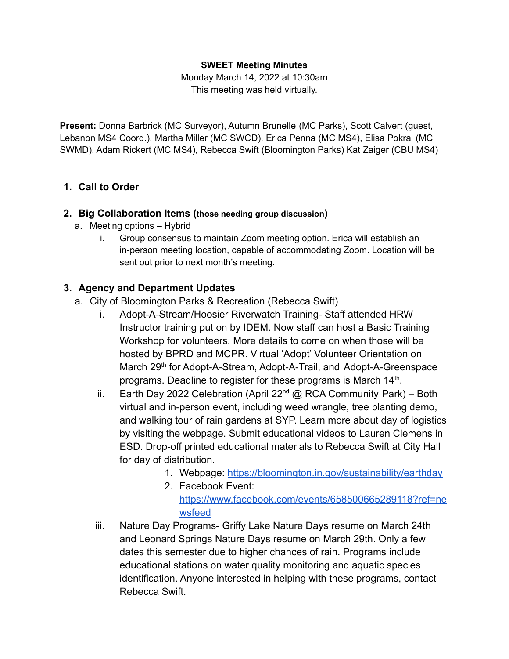### **SWEET Meeting Minutes**

Monday March 14, 2022 at 10:30am This meeting was held virtually.

**Present:** Donna Barbrick (MC Surveyor), Autumn Brunelle (MC Parks), Scott Calvert (guest, Lebanon MS4 Coord.), Martha Miller (MC SWCD), Erica Penna (MC MS4), Elisa Pokral (MC SWMD), Adam Rickert (MC MS4), Rebecca Swift (Bloomington Parks) Kat Zaiger (CBU MS4)

### **1. Call to Order**

### **2. Big Collaboration Items (those needing group discussion)**

- a. Meeting options Hybrid
	- i. Group consensus to maintain Zoom meeting option. Erica will establish an in-person meeting location, capable of accommodating Zoom. Location will be sent out prior to next month's meeting.

## **3. Agency and Department Updates**

- a. City of Bloomington Parks & Recreation (Rebecca Swift)
	- i. Adopt-A-Stream/Hoosier Riverwatch Training- Staff attended HRW Instructor training put on by IDEM. Now staff can host a Basic Training Workshop for volunteers. More details to come on when those will be hosted by BPRD and MCPR. Virtual 'Adopt' Volunteer Orientation on March 29<sup>th</sup> for Adopt-A-Stream, Adopt-A-Trail, and Adopt-A-Greenspace programs. Deadline to register for these programs is March 14<sup>th</sup>.
	- ii. Earth Day 2022 Celebration (April 22<sup>nd</sup>  $@$  RCA Community Park) Both virtual and in-person event, including weed wrangle, tree planting demo, and walking tour of rain gardens at SYP. Learn more about day of logistics by visiting the webpage. Submit educational videos to Lauren Clemens in ESD. Drop-off printed educational materials to Rebecca Swift at City Hall for day of distribution.
		- 1. Webpage: <https://bloomington.in.gov/sustainability/earthday>
		- 2. Facebook Event: [https://www.facebook.com/events/658500665289118?ref=ne](https://www.facebook.com/events/658500665289118?ref=newsfeed) [wsfeed](https://www.facebook.com/events/658500665289118?ref=newsfeed)
	- iii. Nature Day Programs- Griffy Lake Nature Days resume on March 24th and Leonard Springs Nature Days resume on March 29th. Only a few dates this semester due to higher chances of rain. Programs include educational stations on water quality monitoring and aquatic species identification. Anyone interested in helping with these programs, contact Rebecca Swift.